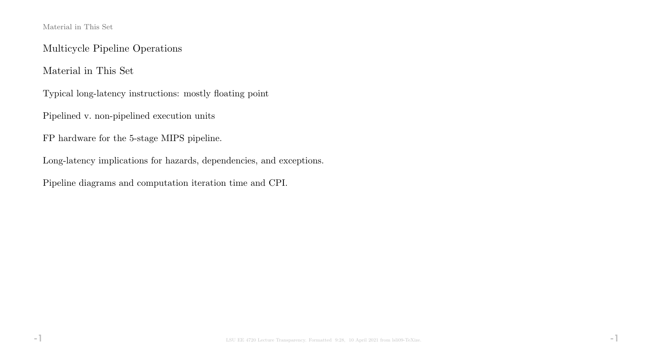#### Material in This Set

Multicycle Pipeline Operations

Material in This Set

Typical long-latency instructions: mostly floating point

Pipelined v. non-pipelined execution units

FP hardware for the 5-stage MIPS pipeline.

Long-latency implications for hazards, dependencies, and exceptions.

Pipeline diagrams and computation iteration time and CPI.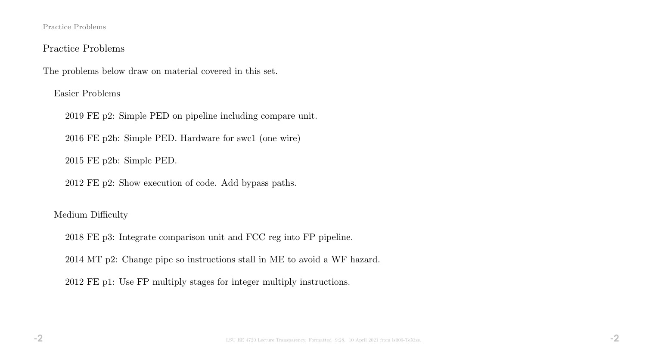#### Practice Problems

#### Practice Problems

The problems below draw on material covered in this set.

Easier Problems

2019 FE p2: Simple PED on pipeline including compare unit.

2016 FE p2b: Simple PED. Hardware for swc1 (one wire)

2015 FE p2b: Simple PED.

2012 FE p2: Show execution of code. Add bypass paths.

#### Medium Difficulty

2018 FE p3: Integrate comparison unit and FCC reg into FP pipeline.

2014 MT p2: Change pipe so instructions stall in ME to avoid a WF hazard.

2012 FE p1: Use FP multiply stages for integer multiply instructions.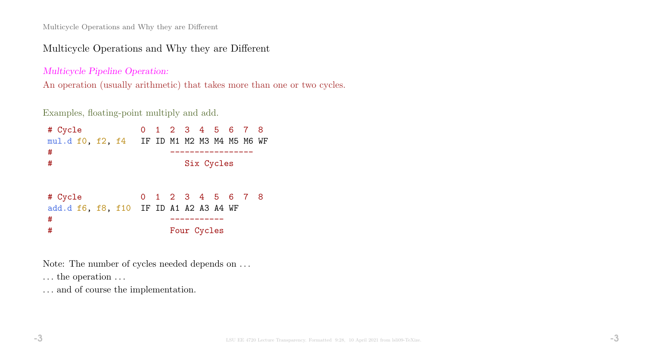### Multicycle Operations and Why they are Different

Multicycle Pipeline Operation:

An operation (usually arithmetic) that takes more than one or two cycles.

Examples, floating-point multiply and add.

| # Cycle<br>mul.d f0, f2, f4 IF ID M1 M2 M3 M4 M5 M6 WF<br># |  | 0 1 2 3 4 5 6 7 8                |            |  |  |
|-------------------------------------------------------------|--|----------------------------------|------------|--|--|
| #                                                           |  |                                  | Six Cycles |  |  |
| # Cycle<br>add.d f6, f8, f10 IF ID A1 A2 A3 A4 WF<br>#<br># |  | 0 1 2 3 4 5 6 7 8<br>Four Cycles |            |  |  |

Note: The number of cycles needed depends on . . .

 $\dots$  the operation  $\dots$ 

 $\ldots$  and of course the implementation.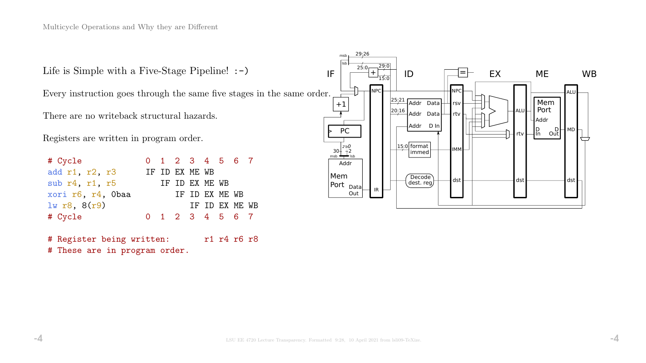Life is Simple with a Five-Stage Pipeline! :-)

Every instruction goes through the same five stages in the same order.

There are no writeback structural hazards.

Registers are written in program order.

| # Cycle           |  | 0 1 2 3 4 5 6 7 |                |  |  |
|-------------------|--|-----------------|----------------|--|--|
| add r1, r2, r3    |  | IF ID EX ME WB  |                |  |  |
| sub r4, r1, r5    |  | IF ID EX ME WB  |                |  |  |
| xori r6, r4, Obaa |  |                 | IF ID EX ME WB |  |  |
| $lw$ r8, $8(r9)$  |  |                 | IF ID EX ME WB |  |  |
| # Cycle           |  | 0 1 2 3 4 5 6 7 |                |  |  |

# Register being written: r1 r4 r6 r8 # These are in program order.

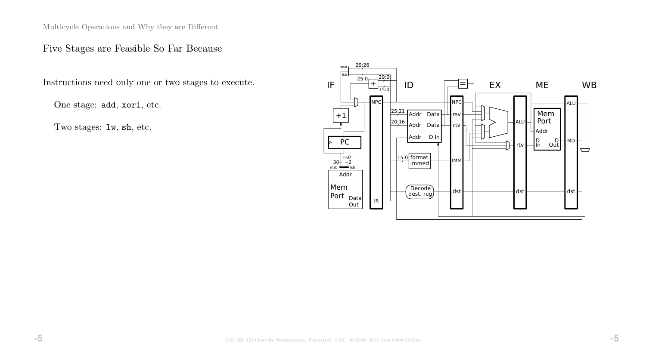### Five Stages are Feasible So Far Because

Instructions need only one or two stages to execute.

One stage: add, xori, etc.

Two stages: lw, sh, etc.

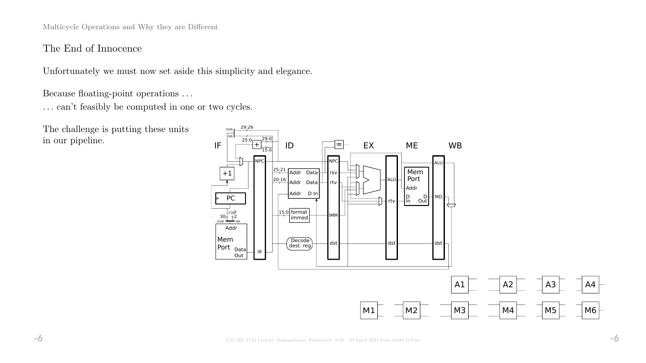### The End of Innocence

Unfortunately we must now set aside this simplicity and elegance.

Because floating-point operations . . .

 $\ldots$  can't feasibly be computed in one or two cycles.

The challenge is putting these units in our pipeline.

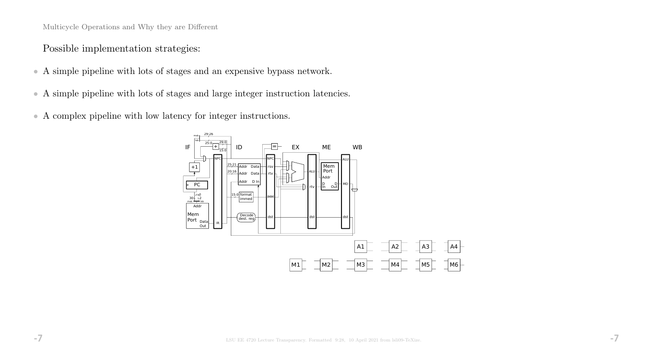Possible implementation strategies:

- A simple pipeline with lots of stages and an expensive bypass network.
- A simple pipeline with lots of stages and large integer instruction latencies.
- A complex pipeline with low latency for integer instructions.

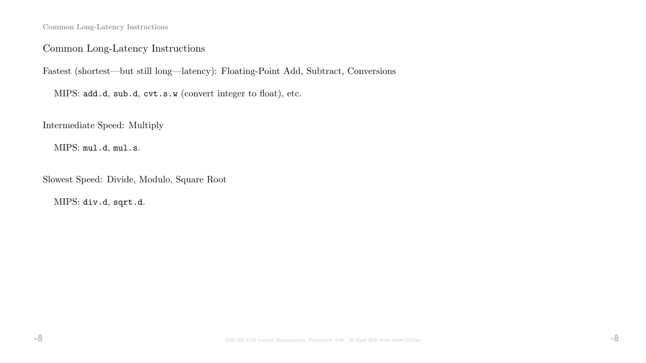Common Long-Latency Instructions

### Common Long-Latency Instructions

Fastest (shortest—but still long—latency): Floating-Point Add, Subtract, Conversions

MIPS: add.d, sub.d, cvt.s.w (convert integer to float), etc.

Intermediate Speed: Multiply

MIPS: mul.d, mul.s.

Slowest Speed: Divide, Modulo, Square Root

MIPS: div.d, sqrt.d.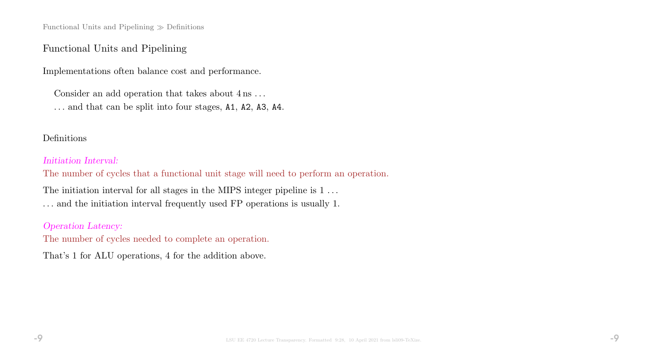Functional Units and Pipelining  $\gg$  Definitions

#### Functional Units and Pipelining

Implementations often balance cost and performance.

Consider an add operation that takes about  $4 \text{ ns} \dots$ 

. . . and that can be split into four stages, A1, A2, A3, A4.

#### Definitions

#### Initiation Interval:

The number of cycles that a functional unit stage will need to perform an operation.

The initiation interval for all stages in the MIPS integer pipeline is 1... . . . and the initiation interval frequently used FP operations is usually 1.

#### Operation Latency:

The number of cycles needed to complete an operation.

That's 1 for ALU operations, 4 for the addition above.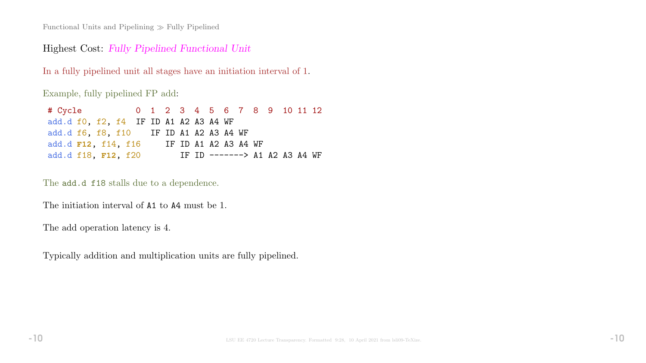Functional Units and Pipelining  $\gg$  Fully Pipelined

#### Highest Cost: Fully Pipelined Functional Unit

In a fully pipelined unit all stages have an initiation interval of 1.

Example, fully pipelined FP add:

| # Cycle 0 1 2 3 4 5 6 7 8 9 10 11 12   |  |                      |  |  |  |                               |  |
|----------------------------------------|--|----------------------|--|--|--|-------------------------------|--|
| add.d f0, f2, f4 IF ID A1 A2 A3 A4 WF  |  |                      |  |  |  |                               |  |
| add.d f6, f8, f10 IF ID A1 A2 A3 A4 WF |  |                      |  |  |  |                               |  |
| add.d <b>F12</b> , f14, f16            |  | IF ID A1 A2 A3 A4 WF |  |  |  |                               |  |
| add.d f18, F12, f20                    |  |                      |  |  |  | IF ID -------> A1 A2 A3 A4 WF |  |

The  $\verb|add.d|$  f18 stalls due to a dependence.

The initiation interval of A1 to A4 must be 1.

The add operation latency is 4.

Typically addition and multiplication units are fully pipelined.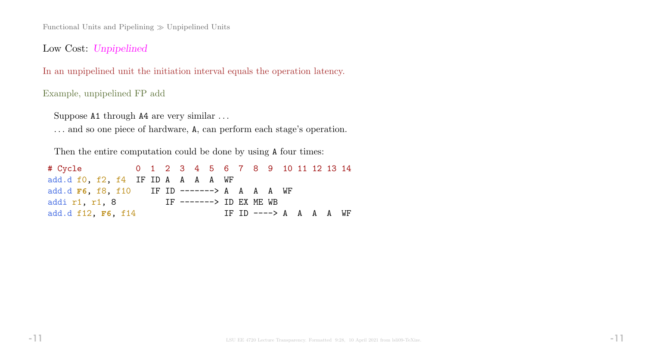Functional Units and Pipelining  $\gg$  Unpipelined Units

Low Cost: Unpipelined

In an unpipelined unit the initiation interval equals the operation latency.

#### Example, unpipelined FP add

Suppose A1 through A4 are very similar . . . . . . and so one piece of hardware, A, can perform each stage's operation.

Then the entire computation could be done by using A four times:

| # Cycle 0 1 2 3 4 5 6 7 8 9 10 11 12 13 14  |  |  |  |                         |  |  |  |  |
|---------------------------------------------|--|--|--|-------------------------|--|--|--|--|
| add.d f0, f2, f4 IF ID A A A A WF           |  |  |  |                         |  |  |  |  |
| add.d F6, f8, f10 IF ID -------> A A A A WF |  |  |  |                         |  |  |  |  |
| addi r1, r1, 8                              |  |  |  | IF -------> ID EX ME WB |  |  |  |  |
| add.d f12, F6, f14                          |  |  |  | IF ID $---> A$ A A A WF |  |  |  |  |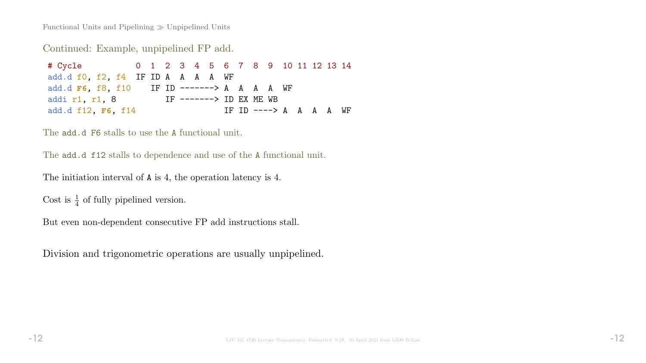Functional Units and Pipelining  $\gg$  Unpipelined Units

Continued: Example, unpipelined FP add.

# Cycle 0 1 2 3 4 5 6 7 8 9 10 11 12 13 14 add.d f0, f2, f4 IF ID A A A A WF add.d **F6**, f8, f10 IF ID -------> A A A A WF addi r1, r1, 8 IF -------> ID EX ME WB add.d f12, F6, f14 IF ID ----> A A A A WF

The **add.d F6** stalls to use the A functional unit.

The **add.d f12** stalls to dependence and use of the A functional unit.

```
The initiation interval of A is 4, the operation latency is 4.
```
Cost is  $\frac{1}{4}$  of fully pipelined version.

But even non-dependent consecutive FP add instructions stall.

Division and trigonometric operations are usually unpipelined.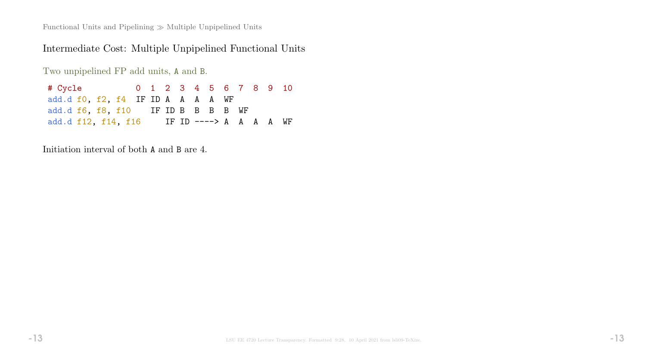Functional Units and Pipelining  $\gg$  Multiple Unpipelined Units

# Intermediate Cost: Multiple Unpipelined Functional Units

Two unpipelined FP add units, A and B.

| # Cycle the second that the second the second second second the second second second second second second second second second second second second second second second second second second second second second second seco |  |  |  | 0 1 2 3 4 5 6 7 8 9 10 |  |  |
|--------------------------------------------------------------------------------------------------------------------------------------------------------------------------------------------------------------------------------|--|--|--|------------------------|--|--|
| add.d f0, f2, f4 IF ID A A A A WF                                                                                                                                                                                              |  |  |  |                        |  |  |
| add.d f6, f8, f10 IF ID B B B B WF                                                                                                                                                                                             |  |  |  |                        |  |  |
| add.d f12, f14, f16 IF ID ----> A A A A WF                                                                                                                                                                                     |  |  |  |                        |  |  |

Initiation interval of both A and B are 4.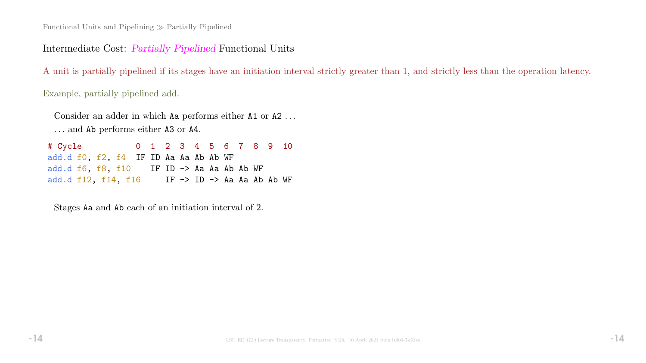Intermediate Cost: Partially Pipelined Functional Units

A unit is partially pipelined if its stages have an initiation interval strictly greater than 1, and strictly less than the operation latency.

Example, partially pipelined add.

Consider an adder in which Aa performs either A1 or A2 . . . . . . and Ab performs either A3 or A4.

# Cycle 0 1 2 3 4 5 6 7 8 9 10 add.d f0, f2, f4 IF ID Aa Aa Ab Ab WF add.d  $f6$ ,  $f8$ ,  $f10$  IF ID  $\rightarrow$  Aa Aa Ab Ab WF add.d f12, f14, f16 IF  $\rightarrow$  ID  $\rightarrow$  Aa Aa Ab Ab WF

Stages Aa and Ab each of an initiation interval of 2.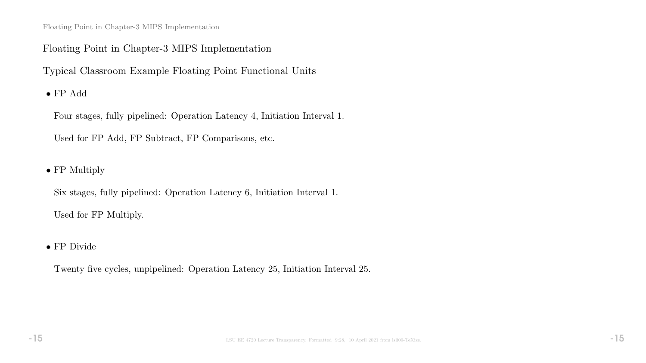Floating Point in Chapter-3 MIPS Implementation

### Floating Point in Chapter-3 MIPS Implementation

Typical Classroom Example Floating Point Functional Units

 $\bullet$  FP Add

Four stages, fully pipelined: Operation Latency 4, Initiation Interval 1.

Used for FP Add, FP Subtract, FP Comparisons, etc.

• FP Multiply

Six stages, fully pipelined: Operation Latency 6, Initiation Interval 1. Used for FP Multiply.

• FP Divide

Twenty five cycles, unpipelined: Operation Latency 25, Initiation Interval 25.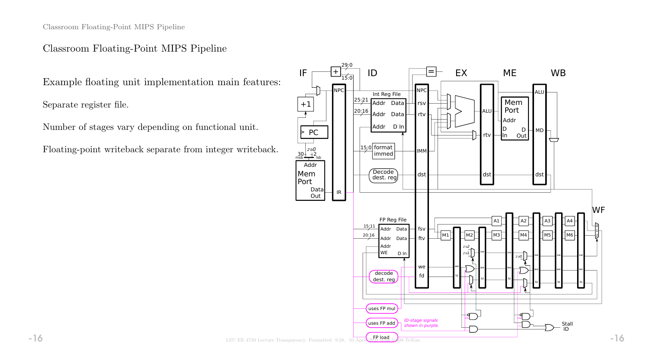Classroom Floating-Point MIPS Pipeline

#### Classroom Floating-Point MIPS Pipeline

Example floating unit implementation main features:

Separate register file.

Number of stages vary depending on functional unit.

Floating-point writeback separate from integer writeback.

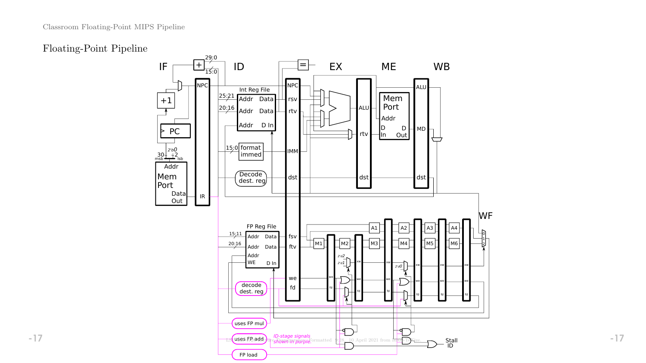# Floating-Point Pipeline

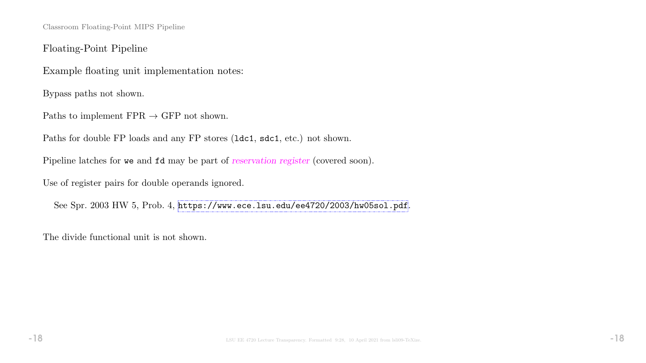Classroom Floating-Point MIPS Pipeline

Floating-Point Pipeline

Example floating unit implementation notes:

Bypass paths not shown.

Paths to implement  $FPR \rightarrow GFP$  not shown.

Paths for double FP loads and any FP stores (ldc1, sdc1, etc.) not shown.

Pipeline latches for we and  $fd$  may be part of reservation register (covered soon).

Use of register pairs for double operands ignored.

See Spr. 2003 HW 5, Prob. 4, <https://www.ece.lsu.edu/ee4720/2003/hw05sol.pdf>.

The divide functional unit is not shown.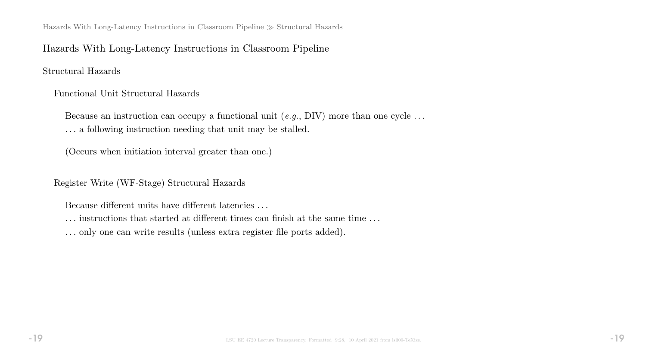Hazards With Long-Latency Instructions in Classroom Pipeline  $\gg$  Structural Hazards

#### Hazards With Long-Latency Instructions in Classroom Pipeline

Structural Hazards

Functional Unit Structural Hazards

Because an instruction can occupy a functional unit  $(e.g., DIV)$  more than one cycle ... . . . a following instruction needing that unit may be stalled.

(Occurs when initiation interval greater than one.)

Register Write (WF-Stage) Structural Hazards

Because different units have different latencies . . .

. . . instructions that started at different times can finish at the same time . . .

. . . only one can write results (unless extra register file ports added).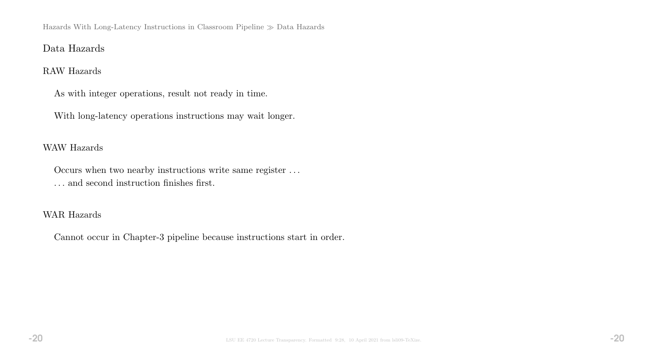Hazards With Long-Latency Instructions in Classroom Pipeline Data Hazards

### Data Hazards

#### RAW Hazards

As with integer operations, result not ready in time.

With long-latency operations instructions may wait longer.

#### WAW Hazards

Occurs when two nearby instructions write same register . . . . . . and second instruction finishes first.

#### WAR Hazards

Cannot occur in Chapter-3 pipeline because instructions start in order.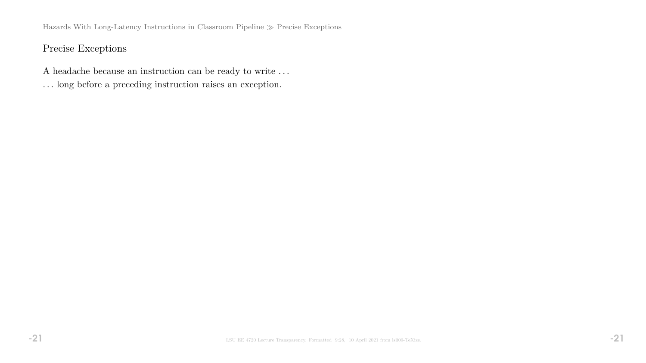Hazards With Long-Latency Instructions in Classroom Pipeline  $\gg$  Precise Exceptions

# Precise Exceptions

- A headache because an instruction can be ready to write . . .
- . . . long before a preceding instruction raises an exception.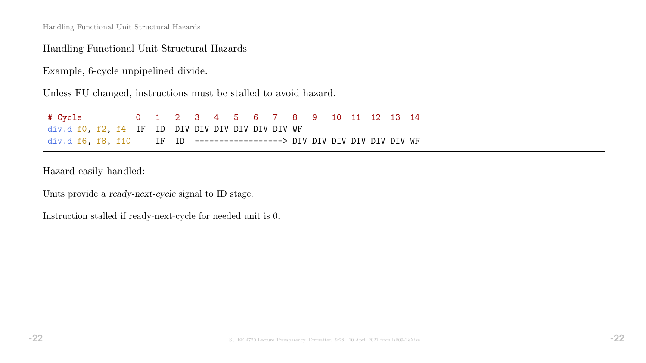#### Handling Functional Unit Structural Hazards

Example, 6-cycle unpipelined divide.

Unless FU changed, instructions must be stalled to avoid hazard.

| # Cycle                                                                 |  | 0 1 2 3 4 5 6 7 8 9 10 11 12 13 14 |  |  |  |  |  |  |
|-------------------------------------------------------------------------|--|------------------------------------|--|--|--|--|--|--|
| div.d f0, f2, f4 IF ID DIV DIV DIV DIV DIV DIV WF                       |  |                                    |  |  |  |  |  |  |
| div.d f6, f8, f10 IF ID -------------------> DIV DIV DIV DIV DIV DIV WF |  |                                    |  |  |  |  |  |  |

Hazard easily handled:

Units provide a ready-next-cycle signal to ID stage.

Instruction stalled if ready-next-cycle for needed unit is 0.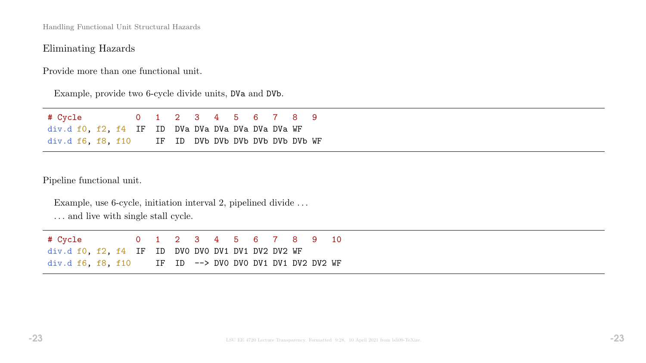### Eliminating Hazards

Provide more than one functional unit.

Example, provide two 6-cycle divide units, DVa and DVb.

| # Cycle                                            |  | 0 1 2 3 4 5 6 7 8 9 |  |  |  |  |
|----------------------------------------------------|--|---------------------|--|--|--|--|
| div.d f0, f2, f4 IF ID DVa DVa DVa DVa DVa DVa WF  |  |                     |  |  |  |  |
| div.d f6, f8, f10 IF ID DVb DVb DVb DVb DVb DVb WF |  |                     |  |  |  |  |

Pipeline functional unit.

Example, use 6-cycle, initiation interval 2, pipelined divide . . .

 $\ldots$  and live with single stall cycle.

| # Cycle                                                  |  |  |  |  |  | 0 1 2 3 4 5 6 7 8 9 10 |  |
|----------------------------------------------------------|--|--|--|--|--|------------------------|--|
| $div.df0$ , $f2$ , $f4$ IF ID DVO DVO DV1 DV1 DV2 DV2 WF |  |  |  |  |  |                        |  |
| $div.d$ f6, f8, f10 IF ID --> DVO DVO DV1 DV1 DV2 DV2 WF |  |  |  |  |  |                        |  |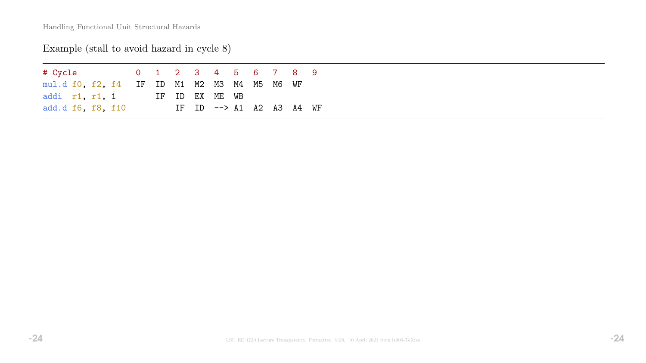# Example (stall to avoid hazard in cycle 8)

| # Cycle the state of the state of the state of the state of the state of the state of the state of the state o |  |  |  | 0 1 2 3 4 5 6 7 8 9                |  |  |  |
|----------------------------------------------------------------------------------------------------------------|--|--|--|------------------------------------|--|--|--|
| mul.d f0, f2, f4 IF ID M1 M2 M3 M4 M5 M6 WF                                                                    |  |  |  |                                    |  |  |  |
| addi r1, r1, 1                                                                                                 |  |  |  | IF ID EX ME WB                     |  |  |  |
| add.d f6, f8, f10                                                                                              |  |  |  | IF ID $\rightarrow$ A1 A2 A3 A4 WF |  |  |  |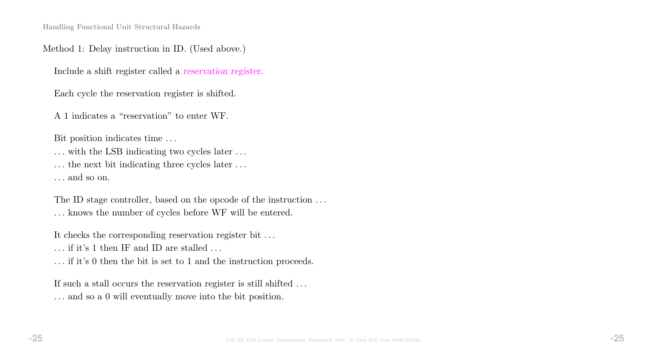#### Method 1: Delay instruction in ID. (Used above.)

Include a shift register called a reservation register.

Each cycle the reservation register is shifted.

A 1 indicates a "reservation" to enter WF.

Bit position indicates time . . .

... with the LSB indicating two cycles later ...

... the next bit indicating three cycles later ...

. . . and so on.

The ID stage controller, based on the opcode of the instruction  $\dots$ . . . knows the number of cycles before WF will be entered.

It checks the corresponding reservation register bit . . .

 $\ldots$  if it's 1 then IF and ID are stalled  $\ldots$ 

. . . if it's 0 then the bit is set to 1 and the instruction proceeds.

If such a stall occurs the reservation register is still shifted ... . . . and so a 0 will eventually move into the bit position.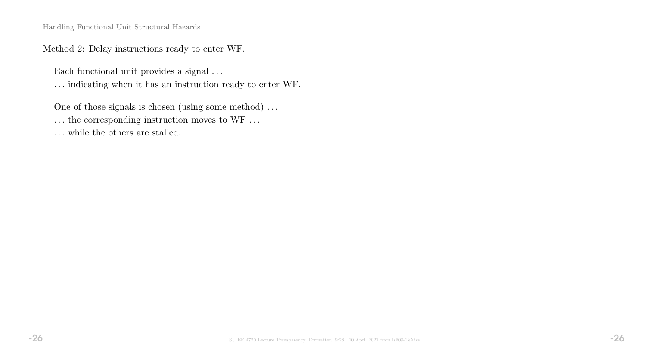Method 2: Delay instructions ready to enter WF.

Each functional unit provides a signal  $\ldots$ 

. . . indicating when it has an instruction ready to enter WF.

One of those signals is chosen (using some method) . . .

 $\ldots$  the corresponding instruction moves to WF  $\ldots$ 

 $\dots$  while the others are stalled.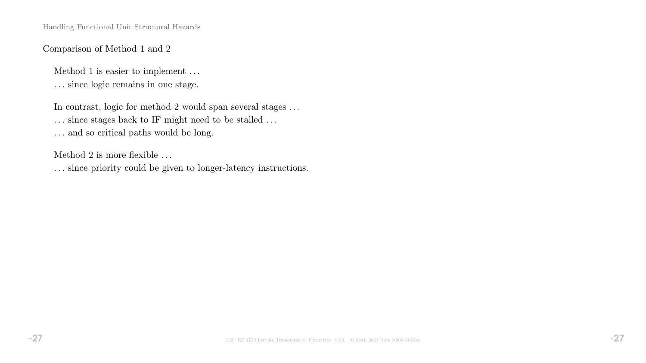#### Comparison of Method 1 and 2

Method 1 is easier to implement . . .

. . . since logic remains in one stage.

In contrast, logic for method 2 would span several stages  $\dots$ 

 $\ldots$  since stages back to IF might need to be stalled  $\ldots$ 

 $\ldots$  and so critical paths would be long.

Method 2 is more flexible . . .

. . . since priority could be given to longer-latency instructions.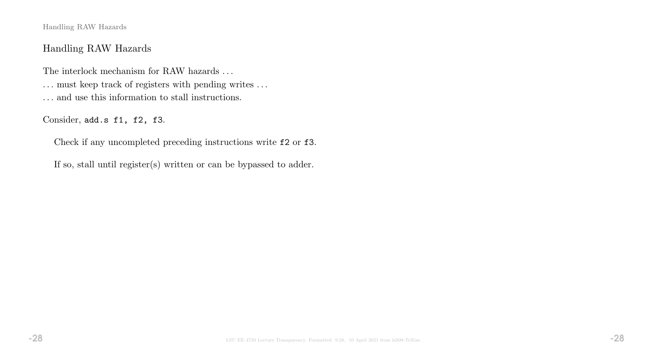Handling RAW Hazards

### Handling RAW Hazards

The interlock mechanism for RAW hazards  $\ldots$ . . . must keep track of registers with pending writes . . . . . . and use this information to stall instructions.

Consider, add.s f1, f2, f3.

Check if any uncompleted preceding instructions write f2 or f3.

If so, stall until register(s) written or can be bypassed to adder.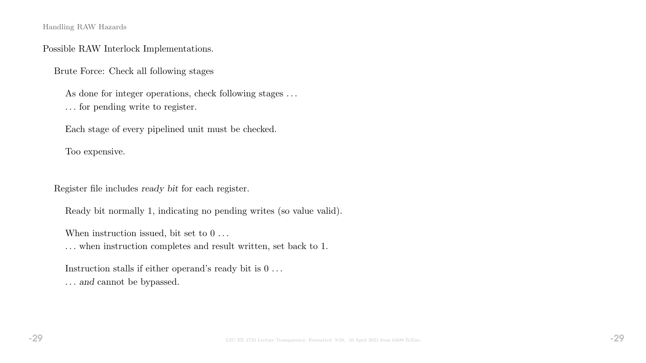Handling RAW Hazards

#### Possible RAW Interlock Implementations.

Brute Force: Check all following stages

As done for integer operations, check following stages ... . . . for pending write to register.

Each stage of every pipelined unit must be checked.

Too expensive.

Register file includes ready bit for each register.

Ready bit normally 1, indicating no pending writes (so value valid).

When instruction issued, bit set to  $0 \ldots$ 

. . . when instruction completes and result written, set back to 1.

Instruction stalls if either operand's ready bit is  $0 \ldots$ . . . and cannot be bypassed.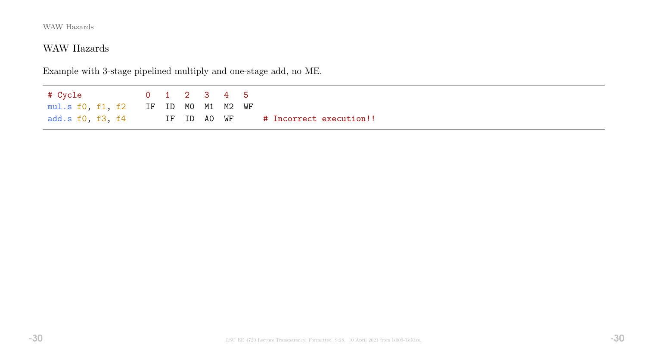# WAW Hazards

Example with 3-stage pipelined multiply and one-stage add, no ME.

# Cycle 0 1 2 3 4 5 mul.s f0, f1, f2 IF ID M0 M1 M2 WF add.s f0, f3, f4 IF ID A0 WF # Incorrect execution!!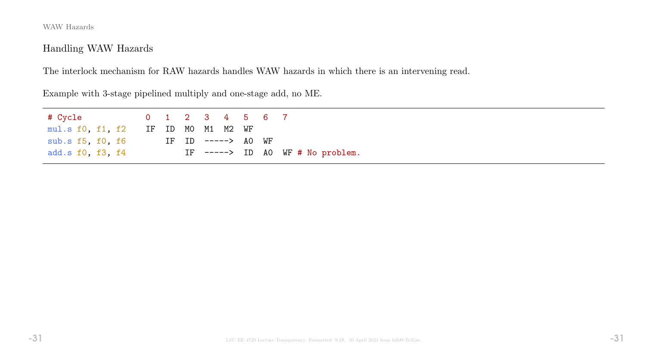# Handling WAW Hazards

The interlock mechanism for RAW hazards handles WAW hazards in which there is an intervening read.

Example with 3-stage pipelined multiply and one-stage add, no ME.

| mul.s f0, f1, f2 IF ID MO M1 M2 WF |  |  |                    |  |                                  |
|------------------------------------|--|--|--------------------|--|----------------------------------|
| sub.s f5, f0, f6                   |  |  | IF ID -----> AO WF |  |                                  |
| add.s f0, f3, f4                   |  |  |                    |  | IF $--->$ ID AO WF # No problem. |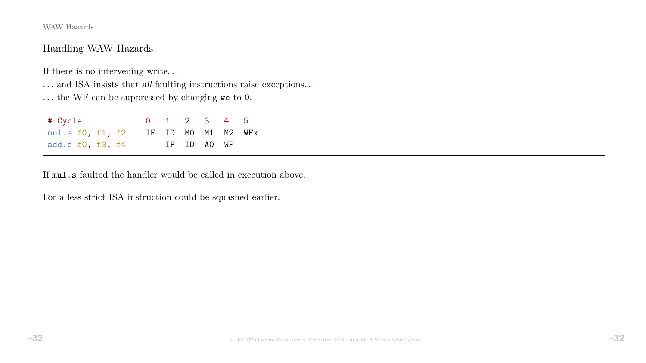### Handling WAW Hazards

If there is no intervening write.  $\ldots$ 

 $\ldots$  and ISA insists that  $all$  faulting instructions raise exceptions.  $\ldots$ 

. . . the WF can be suppressed by changing we to 0.

| # Cycle                             |  | 0 1 2 3 4 5 |  |  |
|-------------------------------------|--|-------------|--|--|
| mul.s f0, f1, f2 IF ID M0 M1 M2 WFx |  |             |  |  |
| add.s f0, f3, f4                    |  | IF ID AO WF |  |  |

If mul.s faulted the handler would be called in execution above.

For a less strict ISA instruction could be squashed earlier.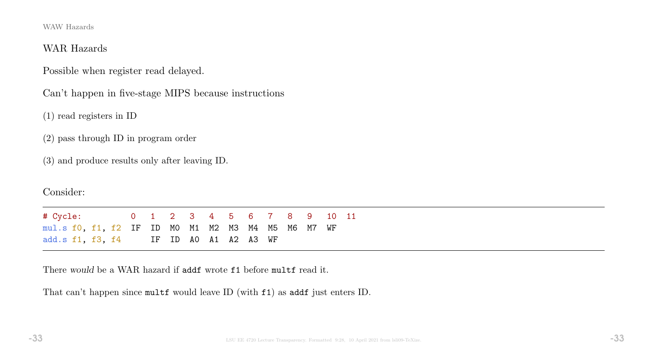#### WAR Hazards

Possible when register read delayed.

Can't happen in five-stage MIPS because instructions

(1) read registers in ID

(2) pass through ID in program order

(3) and produce results only after leaving ID.

Consider:

# Cycle: 0 1 2 3 4 5 6 7 8 9 10 11 mul.s f0, f1, f2 IF ID M0 M1 M2 M3 M4 M5 M6 M7 WF add.s f1, f3, f4 IF ID A0 A1 A2 A3 WF

There would be a WAR hazard if addf wrote f1 before multf read it.

That can't happen since multf would leave ID (with f1) as addf just enters ID.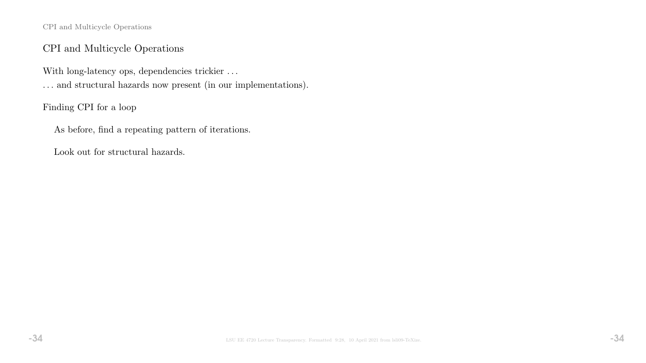CPI and Multicycle Operations

### CPI and Multicycle Operations

With long-latency ops, dependencies trickier ... . . . and structural hazards now present (in our implementations).

Finding CPI for a loop

As before, find a repeating pattern of iterations.

Look out for structural hazards.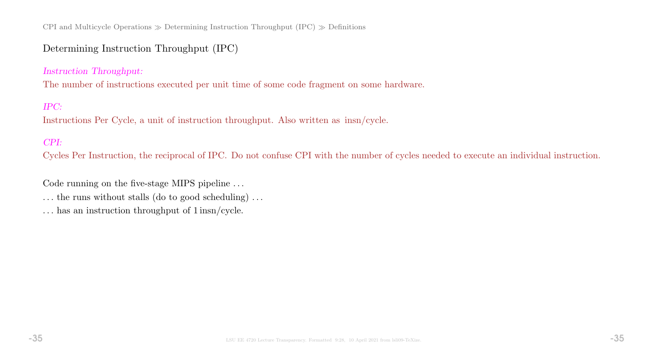CPI and Multicycle Operations  $\gg$  Determining Instruction Throughput (IPC)  $\gg$  Definitions

### Determining Instruction Throughput (IPC)

#### Instruction Throughput:

The number of instructions executed per unit time of some code fragment on some hardware.

#### IPC:

Instructions Per Cycle, a unit of instruction throughput. Also written as insn/cycle.

#### CPI:

Cycles Per Instruction, the reciprocal of IPC. Do not confuse CPI with the number of cycles needed to execute an individual instruction.

Code running on the five-stage MIPS pipeline ...

 $\dots$  the runs without stalls (do to good scheduling)  $\dots$ 

. . . has an instruction throughput of 1 insn/cycle.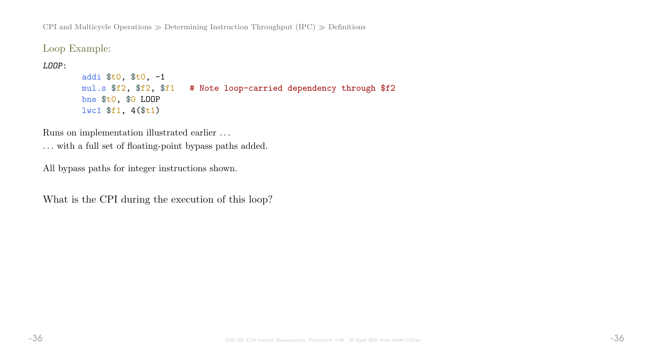CPI and Multicycle Operations  $\gg$  Determining Instruction Throughput (IPC)  $\gg$  Definitions

Loop Example:

LOOP:

```
addi $t0, $t0, -1
mul.s $f2, $f2, $f1 # Note loop-carried dependency through $f2
bne $t0, $0 LOOP
lwc1 $f1, 4($t1)
```
Runs on implementation illustrated earlier . . .

. . . with a full set of floating-point bypass paths added.

All bypass paths for integer instructions shown.

What is the CPI during the execution of this loop?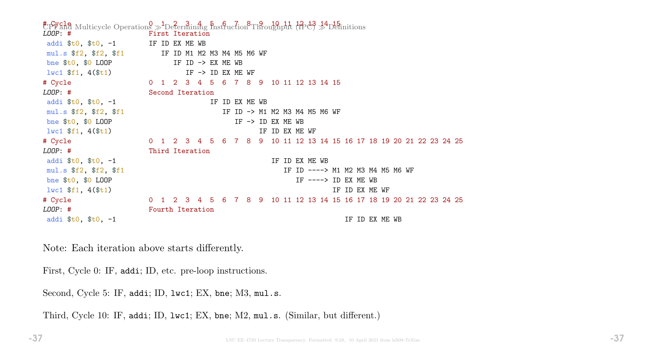$E_{\text{P}}^{\text{total}}$  Multicycle Operations  $\gg$  Determining  $\frac{1}{2}E_{\text{total}}^{\text{total}}$  and  $\frac{1}{2}E_{\text{total}}^{\text{total}}$   $\approx$   $\frac{1}{2}E_{\text{initial}}^{\text{total}}$ First Iteration addi  $t_0$ ,  $t_0$ ,  $-1$  IF ID EX ME WB mul.s \$f2, \$f2, \$f1 IF ID M1 M2 M3 M4 M5 M6 WF bne  $$t0$ ,  $$0$  LOOP IF ID -> EX ME WB  $l$ wc1  $f1$ , 4( $f1$ ) IF -> ID EX ME WF # Cycle 0 1 2 3 4 5 6 7 8 9 10 11 12 13 14 15 LOOP: # Second Iteration addi  $t_0$ ,  $t_0$ ,  $t_1$  is the set of  $\mathbb{R}$  IF ID EX ME WB mul.s  $$f2$ ,  $$f1$  IF ID -> M1 M2 M3 M4 M5 M6 WF bne  $$t0$ ,  $$0$  LOOP IF -> ID EX ME WB  $1\text{wcl } $f1, 4 ($t1)$  is the set of the set of the set of the set of the set of the set of the set of the set of the set of the set of the set of the set of the set of the set of the set of the set of the set of the set of # Cycle 0 1 2 3 4 5 6 7 8 9 10 11 12 13 14 15 16 17 18 19 20 21 22 23 24 25 LOOP: # Third Iteration addi  $t_0$ ,  $t_0$ ,  $t_1$  addi  $t_0$ ,  $t_1$  addi  $t_1$ ,  $t_1$ mul.s \$f2, \$f2, \$f1 15 and 10 and 10 and 10 and 10 and 10 and 10 and 10 and 10 and 10 and 10 and 10 and 10 and 1 bne  $$t0$ ,  $$0$  LOOP IF  $--->$  ID EX ME WB  $\frac{1}{10}$  is  $\frac{1}{10}$  if  $\frac{1}{10}$  if  $\frac{1}{10}$  if  $\frac{1}{10}$  if  $\frac{1}{10}$  EX ME WF # Cycle 0 1 2 3 4 5 6 7 8 9 10 11 12 13 14 15 16 17 18 19 20 21 22 23 24 25 LOOP: # Fourth Iteration addi  $$t0, $t0, -1$  IF ID EX ME WB

Note: Each iteration above starts differently.

First, Cycle 0: IF, addi; ID, etc. pre-loop instructions.

Second, Cycle 5: IF, addi; ID, 1wc1; EX, bne; M3, mul.s.

Third, Cycle 10: IF, addi; ID, lwc1; EX, bne; M2, mul.s. (Similar, but different.)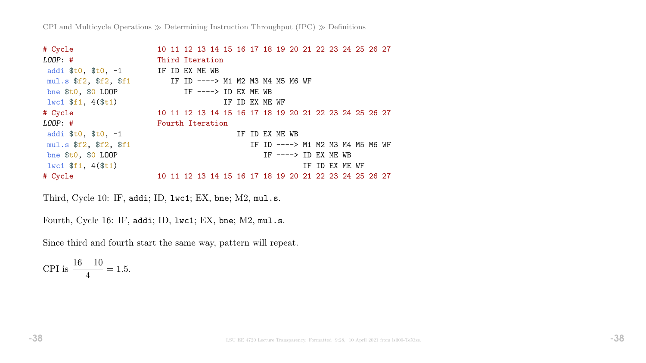| # Cycle                                              |                  |  |                      |  |                | 10 11 12 13 14 15 16 17 18 19 20 21 22 23 24 25 26 27 |  |  |                |  |  |
|------------------------------------------------------|------------------|--|----------------------|--|----------------|-------------------------------------------------------|--|--|----------------|--|--|
| $LOOP:$ #                                            | Third Iteration  |  |                      |  |                |                                                       |  |  |                |  |  |
| addi $$t0, $t0, -1$                                  | IF ID EX ME WB   |  |                      |  |                |                                                       |  |  |                |  |  |
| mul.s $$f2$ , $$f1$ IF ID ----> M1 M2 M3 M4 M5 M6 WF |                  |  |                      |  |                |                                                       |  |  |                |  |  |
| bne $$t0$ , $$0$ LOOP                                |                  |  | IF ----> ID EX ME WB |  |                |                                                       |  |  |                |  |  |
| $1wc1$ \$f1, $4$ (\$t1)                              |                  |  |                      |  | IF ID EX ME WF |                                                       |  |  |                |  |  |
| # Cycle                                              |                  |  |                      |  |                | 10 11 12 13 14 15 16 17 18 19 20 21 22 23 24 25 26 27 |  |  |                |  |  |
| $LOOP:$ #                                            | Fourth Iteration |  |                      |  |                |                                                       |  |  |                |  |  |
| addi $$t0, $t0, -1$                                  |                  |  |                      |  |                | IF ID EX ME WB                                        |  |  |                |  |  |
| mul.s \$f2, \$f2, \$f1                               |                  |  |                      |  |                | IF ID ----> M1 M2 M3 M4 M5 M6 WF                      |  |  |                |  |  |
| bne $$t0, $0$ LOOP                                   |                  |  |                      |  |                | IF $--->$ ID EX ME WB                                 |  |  |                |  |  |
| $1 w c 1 \$f1, 4(\$t1)$                              |                  |  |                      |  |                |                                                       |  |  | IF ID EX ME WF |  |  |
| # Cycle                                              |                  |  |                      |  |                | 10 11 12 13 14 15 16 17 18 19 20 21 22 23 24 25 26 27 |  |  |                |  |  |

Third, Cycle 10: IF, addi; ID, lwc1; EX, bne; M2, mul.s.

Fourth, Cycle 16: IF, addi; ID, lwc1; EX, bne; M2, mul.s.

Since third and fourth start the same way, pattern will repeat.

CPI is  $\frac{16-10}{4}$ 4  $= 1.5.$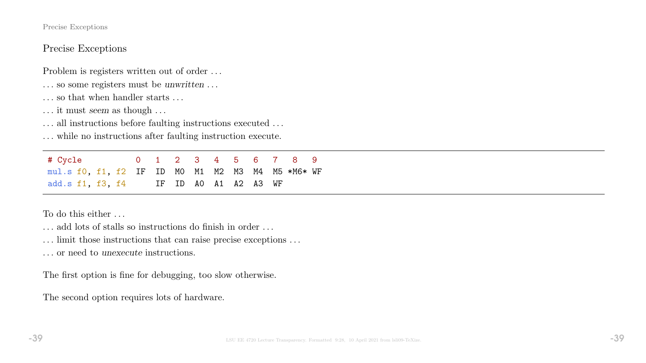#### Precise Exceptions

### Precise Exceptions

Problem is registers written out of order . . .

- . . . so some registers must be unwritten . . .
- . . . so that when handler starts . . .
- . . . it must seem as though . . .
- ... all instructions before faulting instructions executed ...

. . . while no instructions after faulting instruction execute.

# Cycle 0 1 2 3 4 5 6 7 8 9 mul.s f0, f1, f2 IF ID M0 M1 M2 M3 M4 M5 \*M6\* WF add.s f1, f3, f4 IF ID A0 A1 A2 A3 WF

To do this either . . .

. . . add lots of stalls so instructions do finish in order . . .

. . . limit those instructions that can raise precise exceptions . . .

. . . or need to unexecute instructions.

The first option is fine for debugging, too slow otherwise.

The second option requires lots of hardware.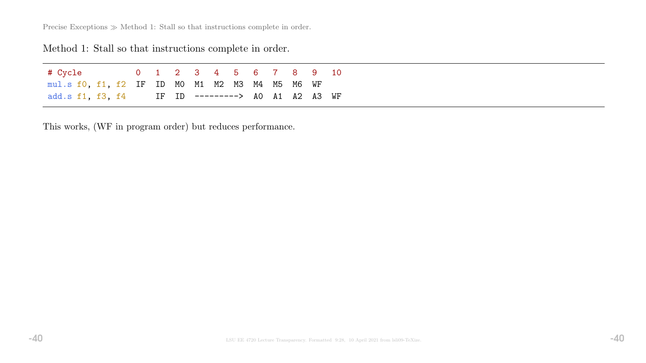Precise Exceptions  $\gg$  Method 1: Stall so that instructions complete in order.

# Method 1: Stall so that instructions complete in order.

| # Cycle                                          |  |  | 0 1 2 3 4 5 6 7 8 9 10 |  |  |  |
|--------------------------------------------------|--|--|------------------------|--|--|--|
| mul.s f0, f1, f2 IF ID M0 M1 M2 M3 M4 M5 M6 WF   |  |  |                        |  |  |  |
| add.s f1, f3, f4 IF ID ---------> A0 A1 A2 A3 WF |  |  |                        |  |  |  |

This works, (WF in program order) but reduces performance.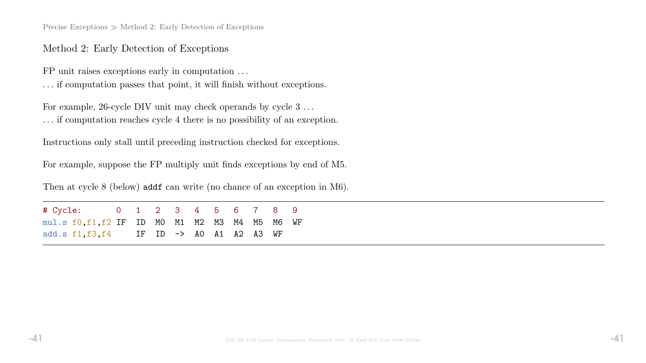Precise Exceptions  $\gg$  Method 2: Early Detection of Exceptions

#### Method 2: Early Detection of Exceptions

FP unit raises exceptions early in computation . . .

. . . if computation passes that point, it will finish without exceptions.

For example, 26-cycle DIV unit may check operands by cycle  $3 \ldots$ . . . if computation reaches cycle 4 there is no possibility of an exception.

Instructions only stall until preceding instruction checked for exceptions.

For example, suppose the FP multiply unit finds exceptions by end of M5.

Then at cycle 8 (below) addf can write (no chance of an exception in M6).

# Cycle: 0 1 2 3 4 5 6 7 8 9 mul.s f0,f1,f2 IF ID M0 M1 M2 M3 M4 M5 M6 WF add.s f1,f3,f4 IF ID -> A0 A1 A2 A3 WF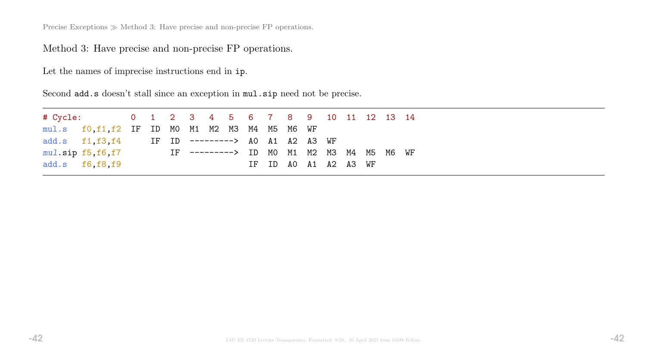Precise Exceptions  $\gg$  Method 3: Have precise and non-precise FP operations.

Method 3: Have precise and non-precise FP operations.

Let the names of imprecise instructions end in ip.

Second add.s doesn't stall since an exception in mul.sip need not be precise.

| # Cycle: 0 1 2 3 4 5 6 7 8 9 10 11 12 13 14 |                                                  |  |                                                  |  |  |  |                      |  |  |  |
|---------------------------------------------|--------------------------------------------------|--|--------------------------------------------------|--|--|--|----------------------|--|--|--|
|                                             | $mul.s$ f0, f1, f2 IF ID MO M1 M2 M3 M4 M5 M6 WF |  |                                                  |  |  |  |                      |  |  |  |
|                                             |                                                  |  | add.s f1, f3, f4 IF ID ---------> AO A1 A2 A3 WF |  |  |  |                      |  |  |  |
|                                             | $mu1.\texttt{sip f5}, f6, f7$                    |  | IF ---------> ID MO M1 M2 M3 M4 M5 M6 WF         |  |  |  |                      |  |  |  |
|                                             | add.s $f6, f8, f9$                               |  |                                                  |  |  |  | IF ID AO A1 A2 A3 WF |  |  |  |